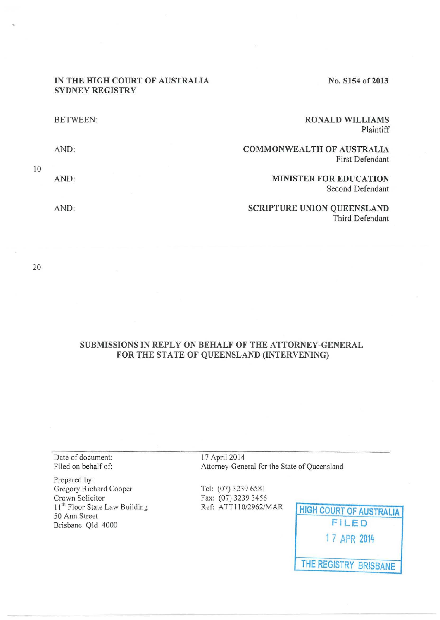### **IN THE HIGH COURT OF AUSTRALIA SYDNEY REGISTRY**

**No. S154 of 2013** 

| <b>BETWEEN:</b> | <b>RONALD WILLIAMS</b><br>Plaintiff                        |
|-----------------|------------------------------------------------------------|
| AND:            | <b>COMMONWEALTH OF AUSTRALIA</b><br><b>First Defendant</b> |
| AND:            | <b>MINISTER FOR EDUCATION</b><br>Second Defendant          |
| AND:            | <b>SCRIPTURE UNION QUEENSLAND</b><br>Third Defendant       |

20

10

## **SUBMISSIONS IN REPLY ON BEHALF OF THE ATTORNEY-GENERAL FOR THE STATE OF QUEENSLAND (INTERVENING)**

Date of document: Filed on behalf of:

Prepared by: Gregory Richard Cooper Crown Solicitor 11<sup>th</sup> Floor State Law Building 50 Ann Street Brisbane Qld 4000

17 April2014 Attorney-General for the State of Queensland

Tel: (07) 3239 6581 Fax: (07) 3239 3456

Ref: A TT11 0/2962/MAR **HIGH COURT OF AUSTRALIA FILED 1 7 APR 2014 THE REGISTRY BRISBANE**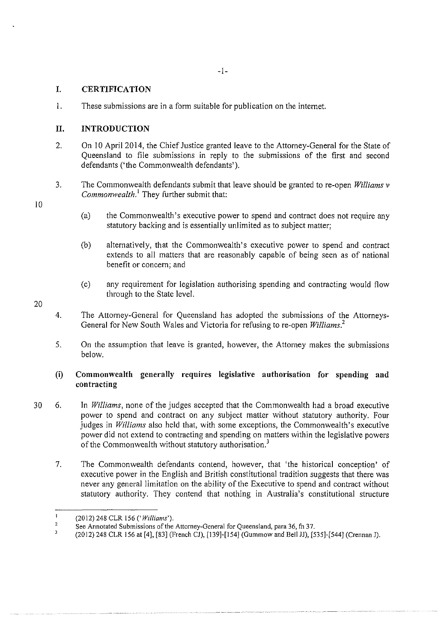# **I. CERTIFICATION**

1. These submissions are in a form suitable for publication on the internet.

# **II. INTRODUCTION**

- 2. On 10 Apri12014, the Chief Justice granted leave to the Attorney-General for the State of Queensland to file submissions in reply to the submissions of the first and second defendants ('the Commonwealth defendants').
- 3. The Commonwealth defendants submit that leave should be granted to re-open *Williams v Commonwealth.*<sup>1</sup> They further submit that:
	- (a) the Commonwealth's executive power to spend and contract does not require any statutory backing and is essentially unlimited as to subject matter;
	- (b) alternatively, that the Commonwealth's executive power to spend and contract extends to all matters that are reasonably capable of being seen as of national benefit or concern; and
	- (c) any requirement for legislation authorising spending and contracting would flow through to the State level.
- 4. The Attorney-General for Queensland has adopted the submissions of the Attorneys-General for New South Wales and Victoria for refusing to re-open *Williams.<sup>2</sup>*
- 5. On the assumption that leave is granted, however, the Attorney makes the submissions below.

# **(i) Commonwealth generally requires legislative authorisation for spending and contracting**

- 30 6. In *Williams,* none of the judges accepted that the Commonwealth had a broad executive power to spend and contract on any subject matter without statutory authority. Four judges in *Williams* also held that, with some exceptions, the Commonwealth's executive power did not extend to contracting and spending on matters within the legislative powers of the Commonwealth without statutory authorisation.<sup>3</sup>
	- 7. The Commonwealth defendants contend, however, that 'the historical conception' of executive power in the English and British constitutional tradition suggests that there was never any general limitation on the ability of the Executive to spend and contract without statutory authority. They contend that nothing in Australia's constitutional structure

10

 $\mathbf{I}$ (2012) 248 CLR 156 *('Williams').* 

 $\,$  2  $\,$ See Annotated Submissions of the Attorney-General for Queensland, para 36, fn 37.

 $\overline{\mathbf{3}}$ (2012) 248 CLR 156 at [4], [83] (French CJ), [139]-[154] (Gummow and Bell JJ), [535]-[544] (Crennan J).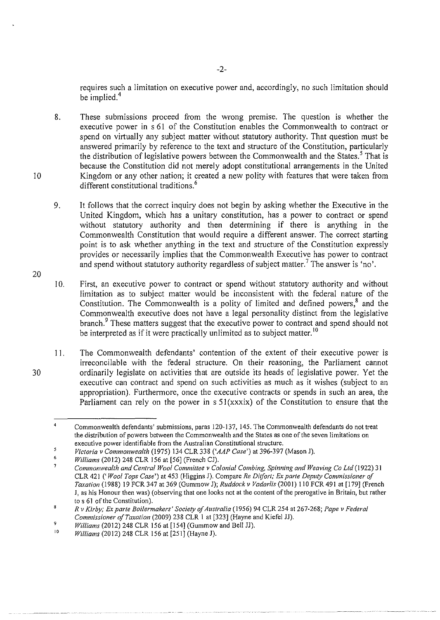requires such a limitation on executive power and, accordingly, no such limitation should be implied.<sup>4</sup>

8. These submissions proceed from the wrong premise. The question is whether the executive power in s 61 of the Constitution enables the Commonwealth to contract or spend on virtually any subject matter without statutory authority. That question must be answered primarily by reference to the text and structure of the Constitution, particularly the distribution of legislative powers between the Commonwealth and the States.<sup>5</sup> That is because the Constitution did not merely adopt constitutional arrangements in the United Kingdom or any other nation; it created a new polity with features that were taken from different constitutional traditions.<sup>6</sup>

9. It follows that the correct inquiry does not begin by asking whether the Executive in the United Kingdom, which has a unitary constitution, has a power to contract or spend without statutory authority and then determining if there is anything in the Commonwealth Constitution that would require a different answer. The correct starting point is to ask whether anything in the text and structure of the Constitution expressly provides or necessarily implies that the Commonwealth Executive has power to contract and spend without statutory authority regardless of subject matter.<sup>7</sup> The answer is 'no'.

I 0. First, an executive power to contract or spend without statutory authority and without limitation as to subject matter would be inconsistent with the federal nature of the Constitution. The Commonwealth is a polity of limited and defined powers, $8$  and the Commonwealth executive does not have a legal personality distinct from the legislative branch.<sup>9</sup> These matters suggest that the executive power to contract and spend should not be interpreted as if it were practically unlimited as to subject matter.<sup>10</sup>

I I. The Commonwealth defendants' contention of the extent of their executive power is irreconcilable with the federal structure. On their reasoning, the Parliament cannot ordinarily legislate on activities that are outside its heads of legislative power. Yet the executive can contract and spend on such activities as much as it wishes (subject to an appropriation). Furthermore, once the executive contracts or spends in such an area, the Parliament can rely on the power in  $s 51(xxxix)$  of the Constitution to ensure that the

10

20

30

9 *Williams* (2012) 248 CLR 156 at [154] (Gummow and Bell JJ).

Commonwealth defendants' submissions, paras 120-137, 145. The Commonwealth defendants do not treat **the distribution of powers between the Commonwealth and the States as one of the seven limitations on executive power identifiable from the Australian Constitutional structure.** 

<sup>5</sup> *Victoria v Commonwealth* (1975) 134 CLR 338 *('AAP Case')* at 396-397 (Mason J).

<sup>6</sup>  *Williams* (2012) 248 CLR 156 at [56] (French CJ).

*Commonwealth and Central Wool Committee v Colonial Combing, Spinning and Weaving Co Ltd* (1922) 31 CLR 421 *('Wool Tops Case')* at 453 (Higgins J). Compare *Re Ditfort; Ex parte Deputy Commissioner of Taxation* (1988) 19 FCR 347 at 369 (Gummow J); *Ruddock v Vadarlis* (200 I) 110 FCR 491 at [179] (French J, as his Honour then was) (observing that one looks not at the content of the prerogative in Britain, but rather to s 61 of the Constitution).

 $\bf 3$ *R v Kirby; Ex parte Boilermakers' Society of Australia* (1956) 94 CLR 254 at 267-268; *Pope v Federal Commissioner of Taxation* (2009) 238 CLR 1 at [323] (Hayne and Kiefel JJ).

<sup>10</sup>  *Williams* (2012) 248 CLR 156 at [251] (Hayne J).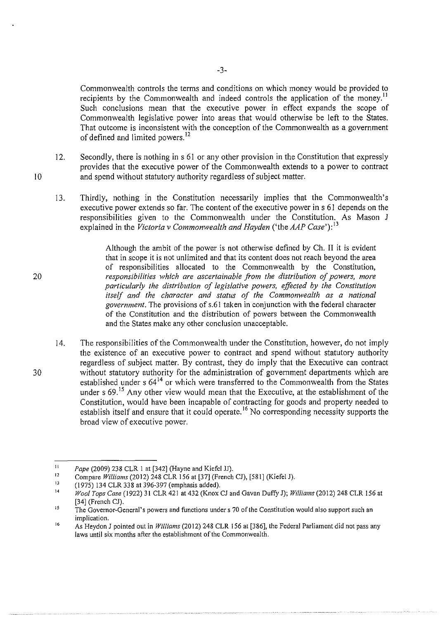Commonwealth controls the terms and conditions on which money would be provided to recipients by the Commonwealth and indeed controls the application of the money.<sup>11</sup> Such conclusions mean that the executive power in effect expands the scope of Commonwealth legislative power into areas that would otherwise be left to the States. That outcome is inconsistent with the conception of the Commonwealth as a government of defined and limited powers.<sup>12</sup>

12. Secondly, there is nothing in s 61 or any other provision in the Constitution that expressly provides that the executive power of the Commonwealth extends to a power to contract and spend without statutory authority regardless of subject matter.

13. Thirdly, nothing in the Constitution necessarily implies that the Commonwealth's executive power extends so far. The content of the executive power ins 61 depends on the responsibilities given to the Commonwealth under the Constitution. As Mason J explained in the *Victoria v Commonwealth and Hayden* ('the *AAP Case'):* <sup>13</sup>

> Although the ambit of the power is not otherwise defined by Ch. II it is evident that in scope it is not unlimited and that its content does not reach beyond the area of responsibilities allocated to the Commonwealth by the Constitution, *responsibilities which are ascertainable from the distribution of powers, more particularly the distribution of legislative powers, effected by the Constitution itself and the character and status of the Commonwealth as a national government.* The provisions of s.61 taken in conjunction with the federal character of the Constitution and the distribution of powers between the Commonwealth and the States make any other conclusion unacceptable.

14. The responsibilities of the Commonwealth under the Constitution, however, do not imply the existence of an executive power to contract and spend without statutory authority regardless of subject matter. By contrast, they do imply that the Executive can contract without statutory authority for the administration of government departments which are established under s 64<sup>14</sup> or which were transferred to the Commonwealth from the States under s  $69<sup>15</sup>$  Any other view would mean that the Executive, at the establishment of the Constitution, would have been incapable of contracting for goods and property needed to establish itself and ensure that it could operate.<sup>16</sup> No corresponding necessity supports the broad view of executive power.

20

30

II *?ape* (2009) 238 CLR 1 at (342] (Hayne and Kiefel JJ).

<sup>12</sup>  Compare *Williams* (2012) 248 CLR 156 at (37] (French CJ), (581] (Kiefel J).

<sup>13</sup>  (1975) 134 CLR 338 at 396-397 (emphasis added).

<sup>14</sup>  *Wool Tops Case* (1922) 31 CLR 421 at 432 (Knox CJ and Gavan Duffy J); *Williams* (2012) 248 CLR 156 at (34] (French CJ).

<sup>15</sup>  **The Governor-General's powers and functions under s 70 of the Constitution would also support such an implication.** 

<sup>16</sup>  As Heydon J pointed out in *Williams* (20 12) 248 CLR 156 at (386], the Federal Parliament did not pass any laws until six months after the establishment of the Commonwealth.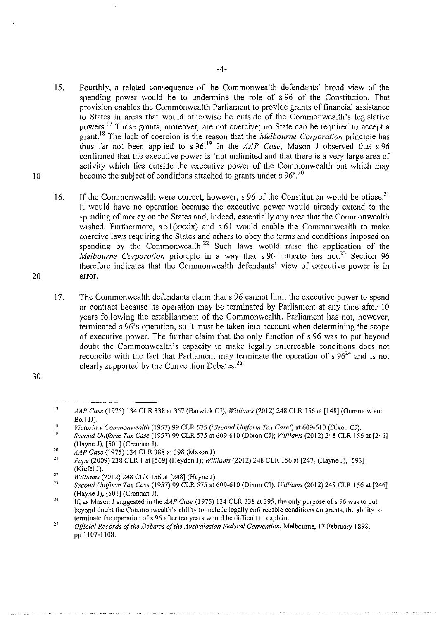- 15. Fourthly, a related consequence of the Commonwealth defendants' broad view of the spending power would be to undermine the role of s 96 of the Constitution. That provision enables the Commonwealth Parliament to provide grants of financial assistance to States in areas that would otherwise be outside of the Commonwealth's legislative powers. 17 Those grants, moreover, are not coercive; no State can be required to accept a grant. <sup>18</sup>The lack of coercion is the reason that the *Melbourne Corporation* principle has thus far not been applied to s 96. 19 In the *AAP Case,* Mason J observed that s 96 confirmed that the executive power is 'not unlimited and that there is a very large area of activity which lies outside the executive power of the Commonwealth but which may become the subject of conditions attached to grants under s  $96'.^{20}$
- 16. If the Commonwealth were correct, however, s 96 of the Constitution would be otiose.<sup>21</sup> It would have no operation because the executive power would already extend to the spending of money on the States and, indeed, essentially any area that the Commonwealth wished. Furthermore,  $s \frac{51}{x \cdot x}$  and  $s \frac{61}{x}$  would enable the Commonwealth to make coercive laws requiring the States and others to obey the terms and conditions imposed on spending by the Commonwealth.<sup>22</sup> Such laws would raise the application of the *Melbourne Corporation* principle in a way that s 96 hitherto has not.<sup>23</sup> Section 96 therefore indicates that the Commonwealth defendants' view of executive power is in error.
- 17. The Commonwealth defendants claim that s 96 cannot limit the executive power to spend or contract because its operation may be terminated by Parliament at any time after 10 years following the establishment of the Commonwealth. Parliament has not, however, terminated s 96's operation, so it must be taken into account when determining the scope of executive power. The further claim that the only function of s 96 was to put beyond doubt the Commonwealth's capacity to make legally enforceable conditions does not reconcile with the fact that Parliament may terminate the operation of  $s 96<sup>24</sup>$  and is not clearly supported by the Convention Debates.<sup>25</sup>

10

<sup>30</sup> 

<sup>17</sup>  *AAP Case* (1975) 134 CLR 338 at 357 (Barwick CJ); *Williams* (2012) 248 CLR 156 at [148] (Gummow and Bell JJ).

<sup>18</sup>  *Victoria v Commonwealth* (1957) 99 CLR 575 *('Second Uniform Tox Case')* at 609-610 (Dixon CJ).

<sup>19</sup>  *Second Uniform Tox Case* (1957) 99 CLR 575 at 609-610 (Dixon CJ); *Williams* (2012) 248 CLR !56 at [246] (Hayne J), [501] (Crennan J).

<sup>20</sup>  *AAP Case* (1975) 134 CLR 388 at 398 (Mason J).

<sup>2</sup>J *Pape* (2009) 238 CLR I at [569] (Heydon J); *Williams* (2012) 248 CLR 156 at [247] (Hayne J), [593] (Kiefel J).

<sup>22</sup>  *Williams* (2012) 248 CLR 156 at [248] (Hayne J).

<sup>23</sup>  *Second Uniform Tox Case* (1957) 99 CLR 575 at 609-610 (Dixon CJ); *Williams* (2012) 248 CLR 156 at [246] (Hayne J), [501] (Crennan J).

<sup>24</sup>  If, as Mason J suggested in the *AAP Case* (1975) 134 CLR 338 at 395, the only purpose of s 96 was to put beyond doubt the Commonwealth's ability to include legally enforceable conditions on grants, the ability to **terminate the operation** of s **96 after ten years would be difficult to explain.** 

<sup>25</sup>  *Official Records of the Debates of the Australasian Federal Convention,* Melbourne, 17 February 1898, pp 1107-1108.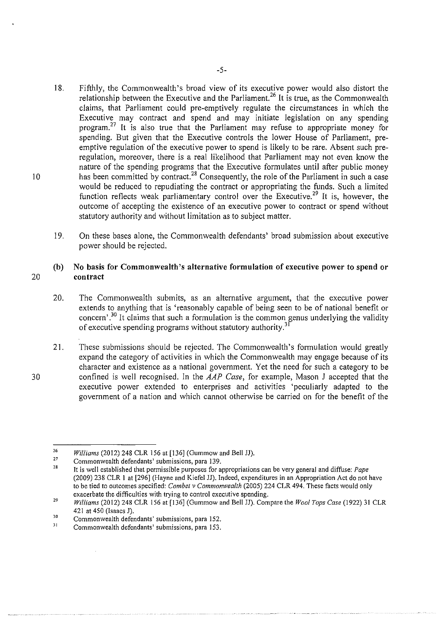- 18. Fifthly, the Commonwealth's broad view of its executive power would also distort the relationship between the Executive and the Parliament.<sup>26</sup> It is true, as the Commonwealth claims, that Parliament could pre-emptively regulate the circumstances in which the Executive may contract and spend and may initiate legislation on any spending program.<sup>27</sup> It is also true that the Parliament may refuse to appropriate money for spending. But given that the Executive controls the lower House of Parliament, preemptive regulation of the executive power to spend is likely to be rare. Absent such preregulation, moreover, there is a real likelihood that Parliament may not even know the nature of the spending programs that the Executive formulates until after public money has been committed by contract.<sup>28</sup> Consequently, the role of the Parliament in such a case would be reduced to repudiating the contract or appropriating the funds. Such a limited function reflects weak parliamentary control over the Executive.<sup>29</sup> It is, however, the outcome of accepting the existence of an executive power to contract or spend without statutory authority and without limitation as to subject matter.
- 19. On these bases alone, the Commonwealth defendants' broad submission about executive power should be rejected.

### **(b) No basis for Commonwealth's alternative formulation of executive power to spend or**  20 **contract**

- 20. The Commonwealth submits, as an alternative argument, that the executive power extends to anything that is 'reasonably capable of being seen to be of national benefit or concern' *?0* It claims that such a formulation is the common genus underlying the validity of executive spending programs without statutory authority.<sup>3</sup>
- 21. These submissions should be rejected. The Commonwealth's formulation would greatly expand the category of activities in which the Commonwealth may engage because of its character and existence as a national government. Yet the need for such a category to be confined is well recognised. In the *AAP Case,* for example, Mason J accepted that the executive power extended to enterprises and activities 'peculiarly adapted to the government of a nation and which cannot otherwise be carried on for the benefit of the

10

<sup>26</sup>  *Williams* (2012) 248 CLR 156 at [136] (Gummow and Bell JJ).

<sup>27</sup>  **Commonwealth defendants' submissions, para 139.** 

<sup>28</sup>  It is well established that permissible purposes for appropriations can be very general and diffuse: *Pape*  (2009) 238 CLR I at [296] (Hayne and Kiefel JJ). Indeed, expenditures in an Appropriation Act do not have to be tied to outcomes specified: *Combet v Commonwealth* (2005) 224 CLR 494. These facts would only exacerbate the difficulties with trying to control executive spending.

<sup>29</sup>  *Williams* (2012) 248 CLR !56 at [136] (Gummow and Bell JJ). Compare the *Wool Tops Case* (1922) 3! CLR 421 at 450 (Isaacs J).

<sup>30</sup>  **Commonwealth defendants' submissions, para 152.** 

<sup>31</sup>  **Commonwealth defendants' submissions, para 153.**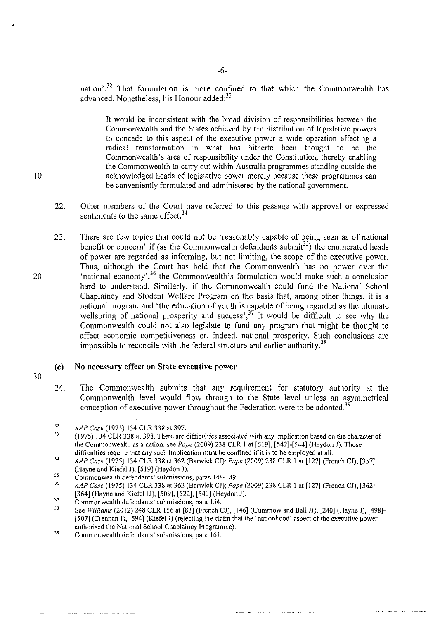nation'.<sup>32</sup> That formulation is more confined to that which the Commonwealth has advanced. Nonetheless, his Honour added:<sup>33</sup>

It would be inconsistent with the broad division of responsibilities between the Commonwealth and the States achieved by the distribution of legislative powers to concede to this aspect of the executive power a wide operation effecting a radical transformation in what has hitherto been thought to be the Commonwealth's area of responsibility under the Constitution, thereby enabling the Commonwealth to carry out within Australia programmes standing outside the acknowledged heads of legislative power merely because these programmes can be conveniently formulated and administered by the national government.

- 22. Other members of the Court have referred to this passage with approval or expressed sentiments to the same effect.<sup>34</sup>
- 23. There are few topics that could not be 'reasonably capable of being seen as of national benefit or concern' if (as the Commonwealth defendants submit<sup>35</sup>) the enumerated heads of power are regarded as informing, but not limiting, the scope of the executive power. Thus, although the Court has held that the Commonwealth has no power over the 'national economy',<sup>36</sup> the Commonwealth's formulation would make such a conclusion hard to understand. Similarly, if the Commonwealth could fund the National School Chaplaincy and Student Welfare Program on the basis that, among other things, it is a national program and 'the education of youth is capable of being regarded as the ultimate wellspring of national prosperity and success',<sup>37</sup> it would be difficult to see why the Commonwealth could not also legislate to fund any program that might be thought to affect economic competitiveness or, indeed, national prosperity. Such conclusions are impossible to reconcile with the federal structure and earlier authority.<sup>38</sup>

### **(c) No necessary effect on State executive power**

30

20

10

24. The Commonwealth submits that any requirement for statutory authority at the Commonwealth level would flow through to the State level unless an asymmetrical conception of executive power throughout the Federation were to be adopted.<sup>39</sup>

<sup>32</sup>  *AAP Case* (1975) 134 CLR 338 at 397.

<sup>33</sup>  (1975) 134 CLR 338 at 398. There are difficulties associated with any implication based on the character of the Commonwealth as a nation: see *Pape* (2009) 238 CLR I at [519], [542]-[544] (Heydon J). Those difficulties require that any such implication must be confined if it is to be employed at all.

<sup>34</sup>  *AAP Case* (1975) 134 CLR 338 at 362 (Barwick CJ); *f'ape* (2009) 238 CLR I at [127] (French CJ), [357] (Hayne and Kiefel J), [519] (Heydon J).

<sup>35</sup>  Commonwealth defendants' submissions, paras 148-149.

<sup>36</sup>  *AAP Case* (1975) 134 CLR 338 at 362 (Barwick CJ); *Pape* (2009) 238 CLR I at [127] (French CJ), [362]- [364] (Hayne and Kiefel JJ), [509], [522], [549] (Heydon J).

<sup>37</sup>  **Commonwealth defendants' submissions, para 154.** 

<sup>38</sup>  See *Williams* (2012) 248 CLR 156 at [83] (French CJ), [146] (Gummow and Bell JJ), [240] (Hayne J), [498]-[507] (Crennan J), [594] (Kiefel J) (rejecting the claim that the 'nationhood' aspect of the executive power authorised the National School Chaplaincy Programme).

<sup>39</sup>  Commonwealth defendants' submissions, para 161.